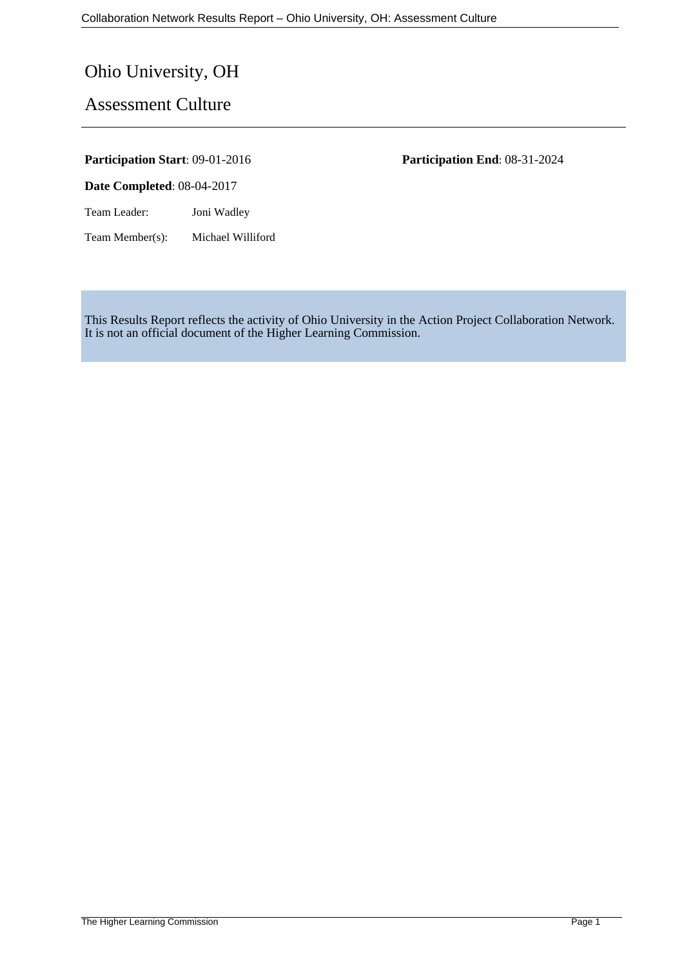# Ohio University, OH

# Assessment Culture

**Date Completed**: 08-04-2017

Team Leader: Joni Wadley

Team Member(s): Michael Williford

**Participation Start**: 09-01-2016 **Participation End**: 08-31-2024

This Results Report reflects the activity of Ohio University in the Action Project Collaboration Network. It is not an official document of the Higher Learning Commission.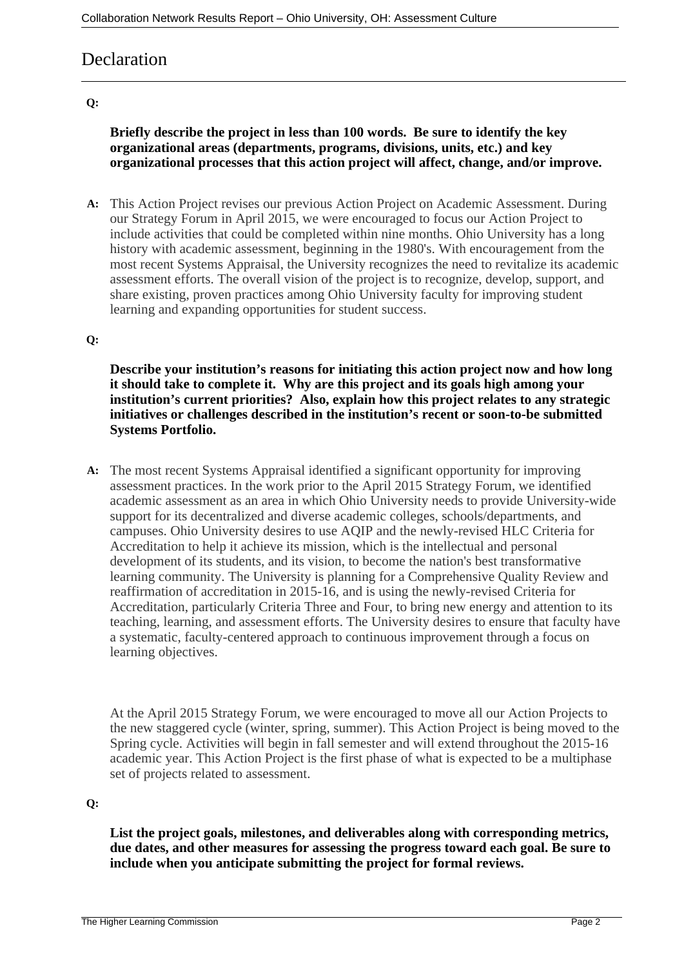# **Declaration**

#### **Q:**

### **Briefly describe the project in less than 100 words. Be sure to identify the key organizational areas (departments, programs, divisions, units, etc.) and key organizational processes that this action project will affect, change, and/or improve.**

**A:** This Action Project revises our previous Action Project on Academic Assessment. During our Strategy Forum in April 2015, we were encouraged to focus our Action Project to include activities that could be completed within nine months. Ohio University has a long history with academic assessment, beginning in the 1980's. With encouragement from the most recent Systems Appraisal, the University recognizes the need to revitalize its academic assessment efforts. The overall vision of the project is to recognize, develop, support, and share existing, proven practices among Ohio University faculty for improving student learning and expanding opportunities for student success.

#### **Q:**

**Describe your institution's reasons for initiating this action project now and how long it should take to complete it. Why are this project and its goals high among your institution's current priorities? Also, explain how this project relates to any strategic initiatives or challenges described in the institution's recent or soon-to-be submitted Systems Portfolio.**

**A:** The most recent Systems Appraisal identified a significant opportunity for improving assessment practices. In the work prior to the April 2015 Strategy Forum, we identified academic assessment as an area in which Ohio University needs to provide University-wide support for its decentralized and diverse academic colleges, schools/departments, and campuses. Ohio University desires to use AQIP and the newly-revised HLC Criteria for Accreditation to help it achieve its mission, which is the intellectual and personal development of its students, and its vision, to become the nation's best transformative learning community. The University is planning for a Comprehensive Quality Review and reaffirmation of accreditation in 2015-16, and is using the newly-revised Criteria for Accreditation, particularly Criteria Three and Four, to bring new energy and attention to its teaching, learning, and assessment efforts. The University desires to ensure that faculty have a systematic, faculty-centered approach to continuous improvement through a focus on learning objectives.

At the April 2015 Strategy Forum, we were encouraged to move all our Action Projects to the new staggered cycle (winter, spring, summer). This Action Project is being moved to the Spring cycle. Activities will begin in fall semester and will extend throughout the 2015-16 academic year. This Action Project is the first phase of what is expected to be a multiphase set of projects related to assessment.

#### **Q:**

**List the project goals, milestones, and deliverables along with corresponding metrics, due dates, and other measures for assessing the progress toward each goal. Be sure to include when you anticipate submitting the project for formal reviews.**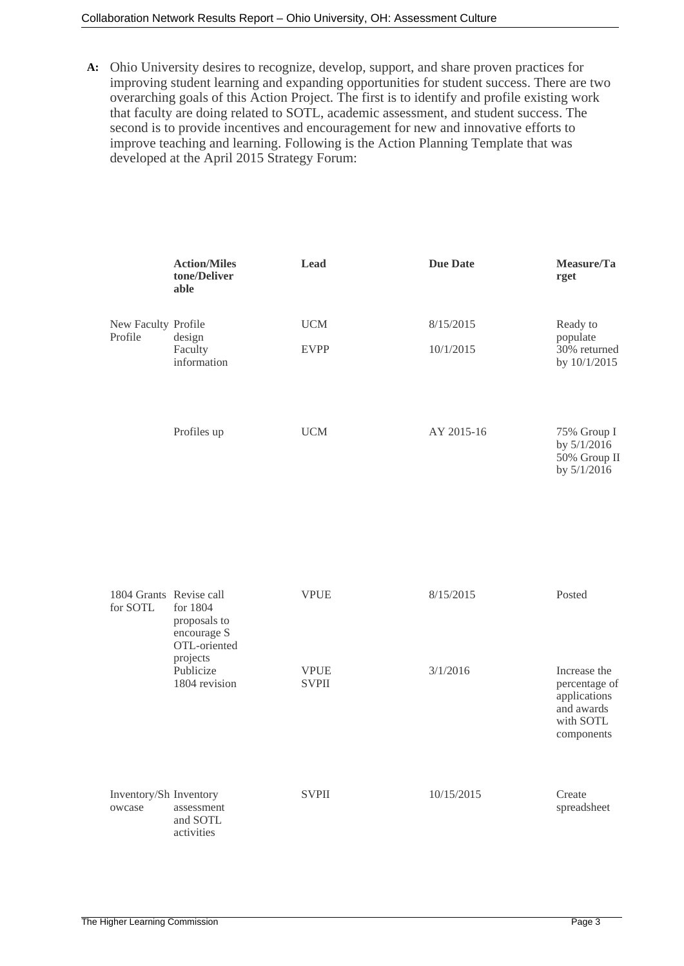#### Collaboration Network Results Report – Ohio University, OH: Assessment Culture

**A:** Ohio University desires to recognize, develop, support, and share proven practices for improving student learning and expanding opportunities for student success. There are two overarching goals of this Action Project. The first is to identify and profile existing work that faculty are doing related to SOTL, academic assessment, and student success. The second is to provide incentives and encouragement for new and innovative efforts to improve teaching and learning. Following is the Action Planning Template that was developed at the April 2015 Strategy Forum:

|                                     | <b>Action/Miles</b><br>tone/Deliver<br>able                                                       | <b>Lead</b>                 | <b>Due Date</b> | Measure/Ta<br>rget                                                                     |
|-------------------------------------|---------------------------------------------------------------------------------------------------|-----------------------------|-----------------|----------------------------------------------------------------------------------------|
| New Faculty Profile<br>Profile      | design<br>Faculty<br>information                                                                  | <b>UCM</b>                  | 8/15/2015       | Ready to<br>populate<br>30% returned<br>by 10/1/2015                                   |
|                                     |                                                                                                   | <b>EVPP</b>                 | 10/1/2015       |                                                                                        |
|                                     | Profiles up                                                                                       | <b>UCM</b>                  | AY 2015-16      | 75% Group I<br>by $5/1/2016$<br>50% Group II<br>by 5/1/2016                            |
| 1804 Grants Revise call<br>for SOTL | for 1804<br>proposals to<br>encourage S<br>OTL-oriented<br>projects<br>Publicize<br>1804 revision | <b>VPUE</b>                 | 8/15/2015       | Posted                                                                                 |
|                                     |                                                                                                   | <b>VPUE</b><br><b>SVPII</b> | 3/1/2016        | Increase the<br>percentage of<br>applications<br>and awards<br>with SOTL<br>components |
| Inventory/Sh Inventory<br>owcase    | assessment<br>and SOTL<br>activities                                                              | <b>SVPII</b>                | 10/15/2015      | Create<br>spreadsheet                                                                  |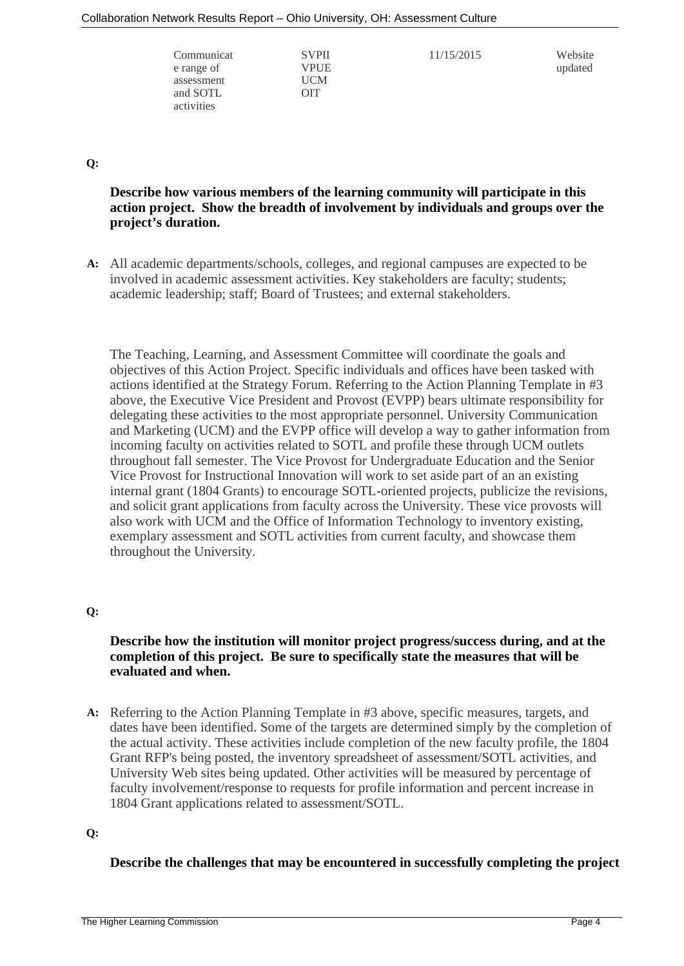| Communicat<br>e range of<br>assessment<br>and SOTL | <b>SVPII</b><br>VPUE<br>UCM<br>OIT | 11/15/2015 | Website<br>updated |
|----------------------------------------------------|------------------------------------|------------|--------------------|
| activities                                         |                                    |            |                    |

**Q:**

### **Describe how various members of the learning community will participate in this action project. Show the breadth of involvement by individuals and groups over the project's duration.**

**A:** All academic departments/schools, colleges, and regional campuses are expected to be involved in academic assessment activities. Key stakeholders are faculty; students; academic leadership; staff; Board of Trustees; and external stakeholders.

The Teaching, Learning, and Assessment Committee will coordinate the goals and objectives of this Action Project. Specific individuals and offices have been tasked with actions identified at the Strategy Forum. Referring to the Action Planning Template in #3 above, the Executive Vice President and Provost (EVPP) bears ultimate responsibility for delegating these activities to the most appropriate personnel. University Communication and Marketing (UCM) and the EVPP office will develop a way to gather information from incoming faculty on activities related to SOTL and profile these through UCM outlets throughout fall semester. The Vice Provost for Undergraduate Education and the Senior Vice Provost for Instructional Innovation will work to set aside part of an an existing internal grant (1804 Grants) to encourage SOTL-oriented projects, publicize the revisions, and solicit grant applications from faculty across the University. These vice provosts will also work with UCM and the Office of Information Technology to inventory existing, exemplary assessment and SOTL activities from current faculty, and showcase them throughout the University.

#### **Q:**

#### **Describe how the institution will monitor project progress/success during, and at the completion of this project. Be sure to specifically state the measures that will be evaluated and when.**

**A:** Referring to the Action Planning Template in #3 above, specific measures, targets, and dates have been identified. Some of the targets are determined simply by the completion of the actual activity. These activities include completion of the new faculty profile, the 1804 Grant RFP's being posted, the inventory spreadsheet of assessment/SOTL activities, and University Web sites being updated. Other activities will be measured by percentage of faculty involvement/response to requests for profile information and percent increase in 1804 Grant applications related to assessment/SOTL.

#### **Q:**

#### **Describe the challenges that may be encountered in successfully completing the project**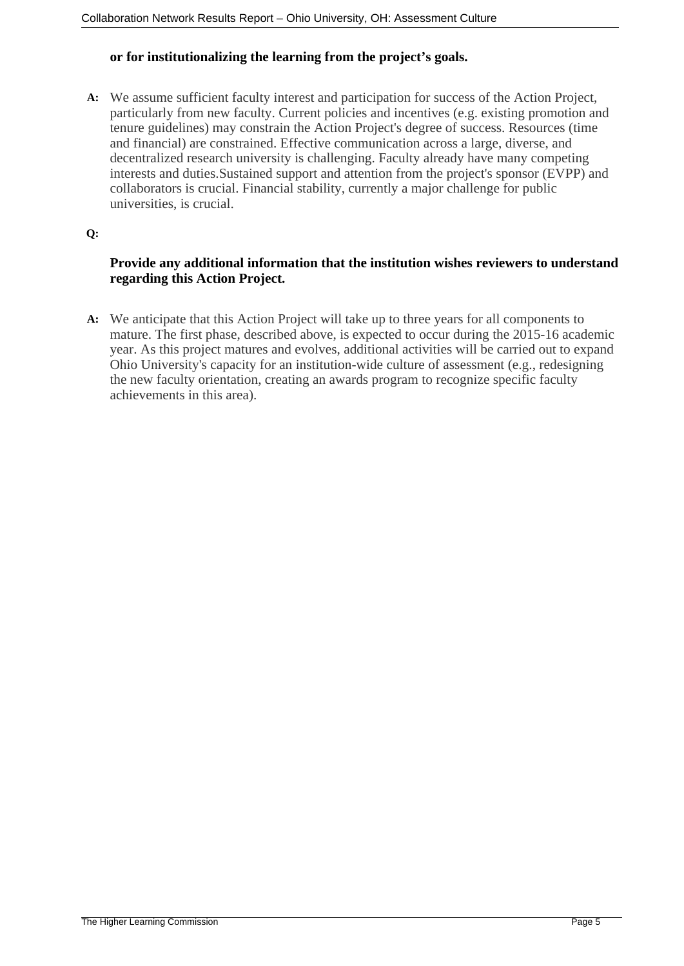### **or for institutionalizing the learning from the project's goals.**

**A:** We assume sufficient faculty interest and participation for success of the Action Project, particularly from new faculty. Current policies and incentives (e.g. existing promotion and tenure guidelines) may constrain the Action Project's degree of success. Resources (time and financial) are constrained. Effective communication across a large, diverse, and decentralized research university is challenging. Faculty already have many competing interests and duties.Sustained support and attention from the project's sponsor (EVPP) and collaborators is crucial. Financial stability, currently a major challenge for public universities, is crucial.

#### **Q:**

### **Provide any additional information that the institution wishes reviewers to understand regarding this Action Project.**

**A:** We anticipate that this Action Project will take up to three years for all components to mature. The first phase, described above, is expected to occur during the 2015-16 academic year. As this project matures and evolves, additional activities will be carried out to expand Ohio University's capacity for an institution-wide culture of assessment (e.g., redesigning the new faculty orientation, creating an awards program to recognize specific faculty achievements in this area).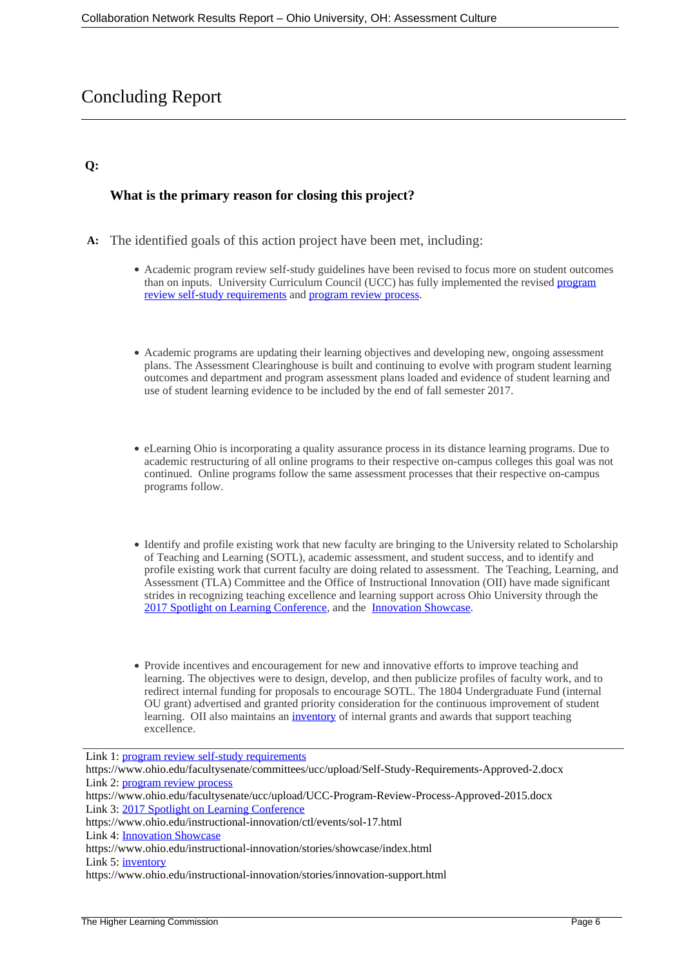# Concluding Report

#### **Q:**

### **What is the primary reason for closing this project?**

- **A:** The identified goals of this action project have been met, including:
	- Academic program review self-study guidelines have been revised to focus more on student outcomes than on inputs. University Curriculum Council (UCC) has fully implemented the revised **program** [review self-study requirements](https://www.ohio.edu/facultysenate/committees/ucc/upload/Self-Study-Requirements-Approved-2.docx) and [program review process](https://www.ohio.edu/facultysenate/ucc/upload/UCC-Program-Review-Process-Approved-2015.docx).
	- Academic programs are updating their learning objectives and developing new, ongoing assessment plans. The Assessment Clearinghouse is built and continuing to evolve with program student learning outcomes and department and program assessment plans loaded and evidence of student learning and use of student learning evidence to be included by the end of fall semester 2017.
	- eLearning Ohio is incorporating a quality assurance process in its distance learning programs. Due to academic restructuring of all online programs to their respective on-campus colleges this goal was not continued. Online programs follow the same assessment processes that their respective on-campus programs follow.
	- Identify and profile existing work that new faculty are bringing to the University related to Scholarship of Teaching and Learning (SOTL), academic assessment, and student success, and to identify and profile existing work that current faculty are doing related to assessment. The Teaching, Learning, and Assessment (TLA) Committee and the Office of Instructional Innovation (OII) have made significant strides in recognizing teaching excellence and learning support across Ohio University through the [2017 Spotlight on Learning Conference,](https://www.ohio.edu/instructional-innovation/ctl/events/sol-17.html) and the [Innovation Showcase.](https://www.ohio.edu/instructional-innovation/stories/showcase/index.html)
	- Provide incentives and encouragement for new and innovative efforts to improve teaching and learning. The objectives were to design, develop, and then publicize profiles of faculty work, and to redirect internal funding for proposals to encourage SOTL. The 1804 Undergraduate Fund (internal OU grant) advertised and granted priority consideration for the continuous improvement of student learning. OII also maintains an [inventory](https://www.ohio.edu/instructional-innovation/stories/innovation-support.html) of internal grants and awards that support teaching excellence.

Link 1: [program review self-study requirements](https://www.ohio.edu/facultysenate/committees/ucc/upload/Self-Study-Requirements-Approved-2.docx) https://www.ohio.edu/facultysenate/committees/ucc/upload/Self-Study-Requirements-Approved-2.docx Link 2: **program review process** https://www.ohio.edu/facultysenate/ucc/upload/UCC-Program-Review-Process-Approved-2015.docx Link 3: [2017 Spotlight on Learning Conference](https://www.ohio.edu/instructional-innovation/ctl/events/sol-17.html) https://www.ohio.edu/instructional-innovation/ctl/events/sol-17.html Link 4: [Innovation Showcase](https://www.ohio.edu/instructional-innovation/stories/showcase/index.html) https://www.ohio.edu/instructional-innovation/stories/showcase/index.html Link 5: [inventory](https://www.ohio.edu/instructional-innovation/stories/innovation-support.html) https://www.ohio.edu/instructional-innovation/stories/innovation-support.html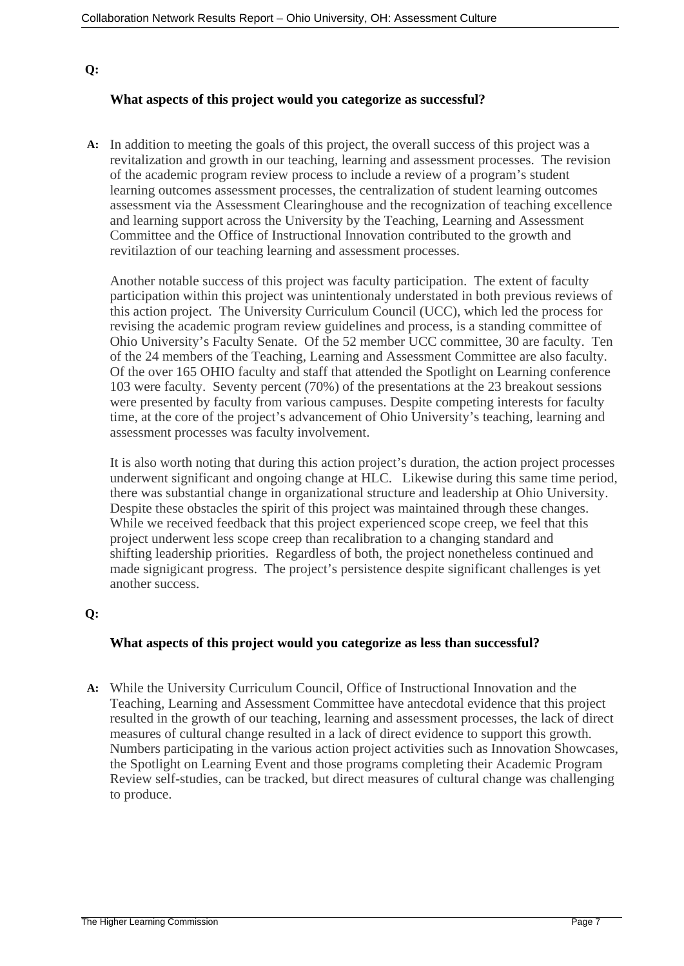### **Q:**

### **What aspects of this project would you categorize as successful?**

**A:** In addition to meeting the goals of this project, the overall success of this project was a revitalization and growth in our teaching, learning and assessment processes. The revision of the academic program review process to include a review of a program's student learning outcomes assessment processes, the centralization of student learning outcomes assessment via the Assessment Clearinghouse and the recognization of teaching excellence and learning support across the University by the Teaching, Learning and Assessment Committee and the Office of Instructional Innovation contributed to the growth and revitilaztion of our teaching learning and assessment processes.

Another notable success of this project was faculty participation. The extent of faculty participation within this project was unintentionaly understated in both previous reviews of this action project. The University Curriculum Council (UCC), which led the process for revising the academic program review guidelines and process, is a standing committee of Ohio University's Faculty Senate. Of the 52 member UCC committee, 30 are faculty. Ten of the 24 members of the Teaching, Learning and Assessment Committee are also faculty. Of the over 165 OHIO faculty and staff that attended the Spotlight on Learning conference 103 were faculty. Seventy percent (70%) of the presentations at the 23 breakout sessions were presented by faculty from various campuses. Despite competing interests for faculty time, at the core of the project's advancement of Ohio University's teaching, learning and assessment processes was faculty involvement.

It is also worth noting that during this action project's duration, the action project processes underwent significant and ongoing change at HLC. Likewise during this same time period, there was substantial change in organizational structure and leadership at Ohio University. Despite these obstacles the spirit of this project was maintained through these changes. While we received feedback that this project experienced scope creep, we feel that this project underwent less scope creep than recalibration to a changing standard and shifting leadership priorities. Regardless of both, the project nonetheless continued and made signigicant progress. The project's persistence despite significant challenges is yet another success.

### **Q:**

#### **What aspects of this project would you categorize as less than successful?**

**A:** While the University Curriculum Council, Office of Instructional Innovation and the Teaching, Learning and Assessment Committee have antecdotal evidence that this project resulted in the growth of our teaching, learning and assessment processes, the lack of direct measures of cultural change resulted in a lack of direct evidence to support this growth. Numbers participating in the various action project activities such as Innovation Showcases, the Spotlight on Learning Event and those programs completing their Academic Program Review self-studies, can be tracked, but direct measures of cultural change was challenging to produce.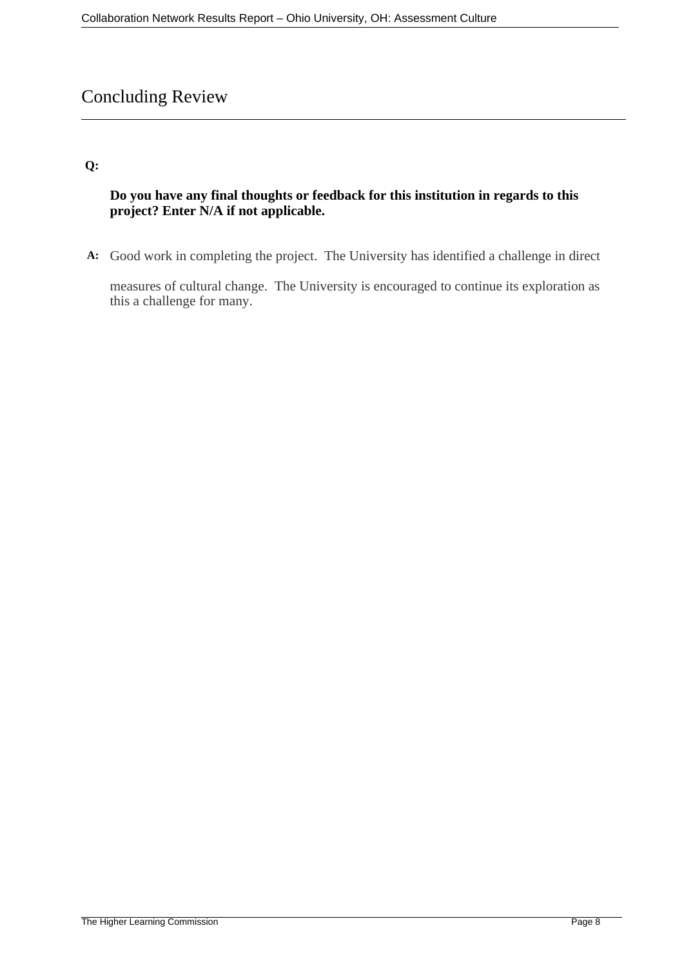# Concluding Review

### **Q:**

### **Do you have any final thoughts or feedback for this institution in regards to this project? Enter N/A if not applicable.**

**A:** Good work in completing the project. The University has identified a challenge in direct

measures of cultural change. The University is encouraged to continue its exploration as this a challenge for many.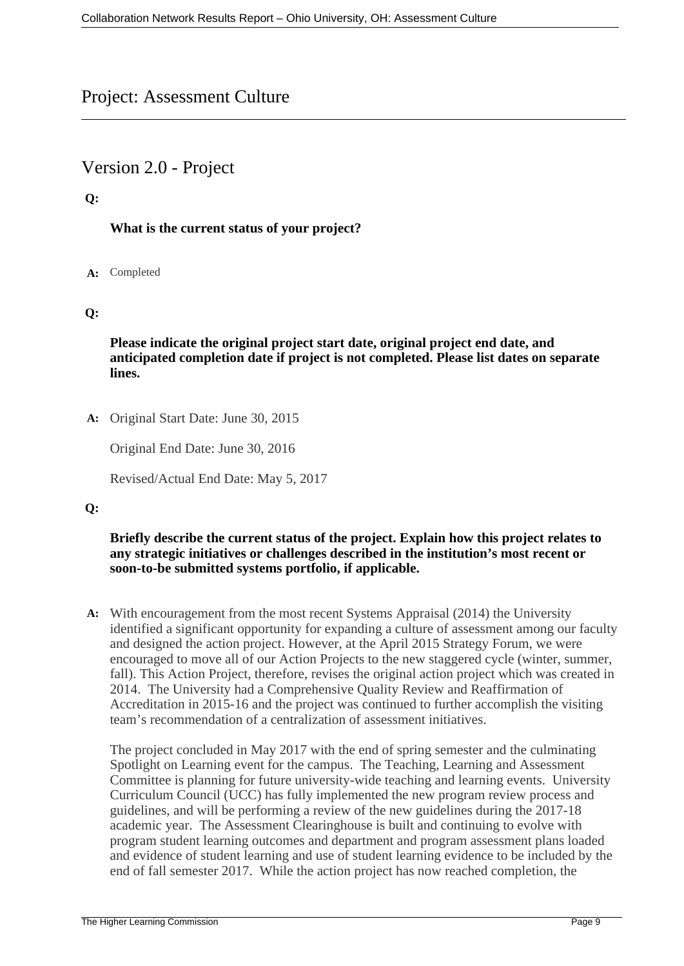# Project: Assessment Culture

# Version 2.0 - Project

### **Q:**

### **What is the current status of your project?**

### **A:** Completed

### **Q:**

**Please indicate the original project start date, original project end date, and anticipated completion date if project is not completed. Please list dates on separate lines.**

**A:** Original Start Date: June 30, 2015

Original End Date: June 30, 2016

Revised/Actual End Date: May 5, 2017

### **Q:**

#### **Briefly describe the current status of the project. Explain how this project relates to any strategic initiatives or challenges described in the institution's most recent or soon-to-be submitted systems portfolio, if applicable.**

**A:** With encouragement from the most recent Systems Appraisal (2014) the University identified a significant opportunity for expanding a culture of assessment among our faculty and designed the action project. However, at the April 2015 Strategy Forum, we were encouraged to move all of our Action Projects to the new staggered cycle (winter, summer, fall). This Action Project, therefore, revises the original action project which was created in 2014. The University had a Comprehensive Quality Review and Reaffirmation of Accreditation in 2015-16 and the project was continued to further accomplish the visiting team's recommendation of a centralization of assessment initiatives.

The project concluded in May 2017 with the end of spring semester and the culminating Spotlight on Learning event for the campus. The Teaching, Learning and Assessment Committee is planning for future university-wide teaching and learning events. University Curriculum Council (UCC) has fully implemented the new program review process and guidelines, and will be performing a review of the new guidelines during the 2017-18 academic year. The Assessment Clearinghouse is built and continuing to evolve with program student learning outcomes and department and program assessment plans loaded and evidence of student learning and use of student learning evidence to be included by the end of fall semester 2017. While the action project has now reached completion, the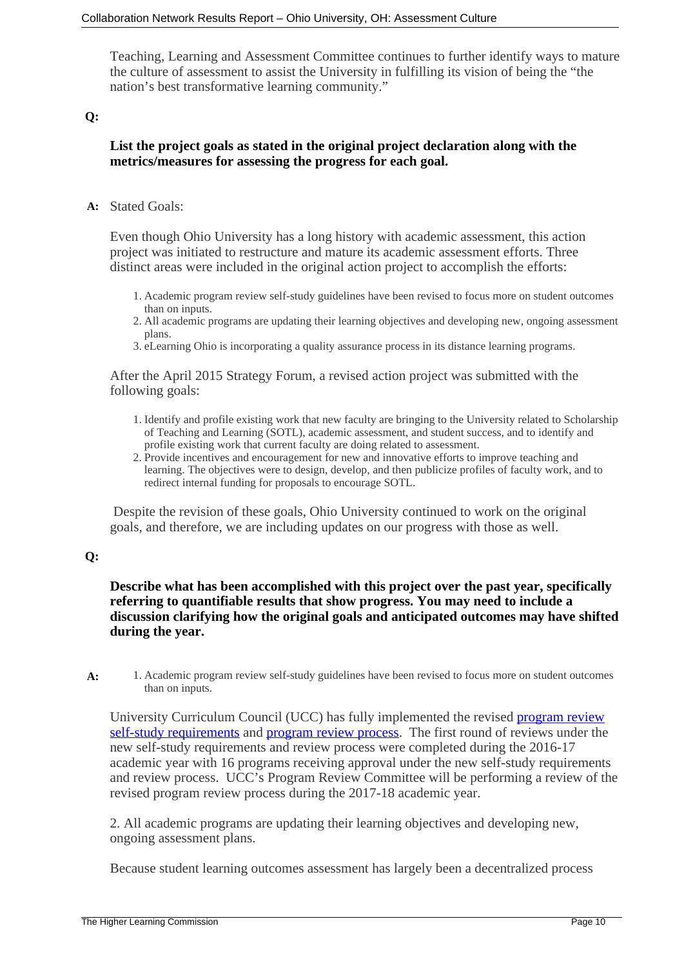Teaching, Learning and Assessment Committee continues to further identify ways to mature the culture of assessment to assist the University in fulfilling its vision of being the "the nation's best transformative learning community."

#### **Q:**

### **List the project goals as stated in the original project declaration along with the metrics/measures for assessing the progress for each goal.**

#### **A:** Stated Goals:

Even though Ohio University has a long history with academic assessment, this action project was initiated to restructure and mature its academic assessment efforts. Three distinct areas were included in the original action project to accomplish the efforts:

- 1. Academic program review self-study guidelines have been revised to focus more on student outcomes than on inputs.
- 2. All academic programs are updating their learning objectives and developing new, ongoing assessment plans.
- 3. eLearning Ohio is incorporating a quality assurance process in its distance learning programs.

After the April 2015 Strategy Forum, a revised action project was submitted with the following goals:

- 1. Identify and profile existing work that new faculty are bringing to the University related to Scholarship of Teaching and Learning (SOTL), academic assessment, and student success, and to identify and profile existing work that current faculty are doing related to assessment.
- 2. Provide incentives and encouragement for new and innovative efforts to improve teaching and learning. The objectives were to design, develop, and then publicize profiles of faculty work, and to redirect internal funding for proposals to encourage SOTL.

 Despite the revision of these goals, Ohio University continued to work on the original goals, and therefore, we are including updates on our progress with those as well.

#### **Q:**

### **Describe what has been accomplished with this project over the past year, specifically referring to quantifiable results that show progress. You may need to include a discussion clarifying how the original goals and anticipated outcomes may have shifted during the year.**

**A:** 1. Academic program review self-study guidelines have been revised to focus more on student outcomes than on inputs.

University Curriculum Council (UCC) has fully implemented the revised [program review](https://www.ohio.edu/facultysenate/committees/ucc/upload/Self-Study-Requirements-Approved-2.docx) [self-study requirements](https://www.ohio.edu/facultysenate/committees/ucc/upload/Self-Study-Requirements-Approved-2.docx) and [program review process](https://www.ohio.edu/facultysenate/ucc/upload/UCC-Program-Review-Process-Approved-2015.docx). The first round of reviews under the new self-study requirements and review process were completed during the 2016-17 academic year with 16 programs receiving approval under the new self-study requirements and review process. UCC's Program Review Committee will be performing a review of the revised program review process during the 2017-18 academic year.

2. All academic programs are updating their learning objectives and developing new, ongoing assessment plans.

Because student learning outcomes assessment has largely been a decentralized process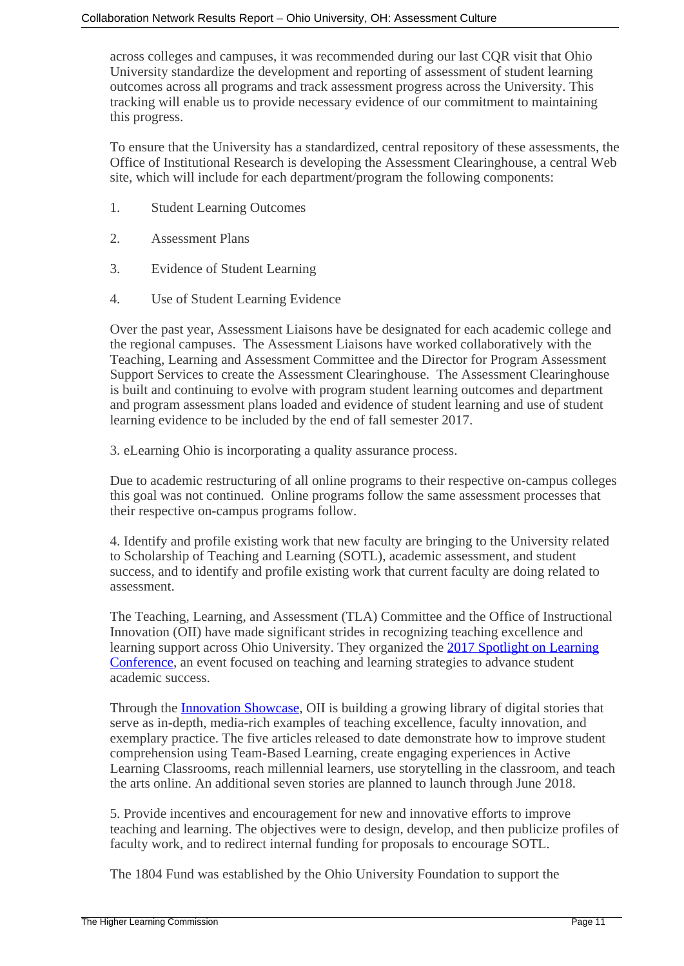across colleges and campuses, it was recommended during our last CQR visit that Ohio University standardize the development and reporting of assessment of student learning outcomes across all programs and track assessment progress across the University. This tracking will enable us to provide necessary evidence of our commitment to maintaining this progress.

To ensure that the University has a standardized, central repository of these assessments, the Office of Institutional Research is developing the Assessment Clearinghouse, a central Web site, which will include for each department/program the following components:

- 1. Student Learning Outcomes
- 2. Assessment Plans
- 3. Evidence of Student Learning
- 4. Use of Student Learning Evidence

Over the past year, Assessment Liaisons have be designated for each academic college and the regional campuses. The Assessment Liaisons have worked collaboratively with the Teaching, Learning and Assessment Committee and the Director for Program Assessment Support Services to create the Assessment Clearinghouse. The Assessment Clearinghouse is built and continuing to evolve with program student learning outcomes and department and program assessment plans loaded and evidence of student learning and use of student learning evidence to be included by the end of fall semester 2017.

3. eLearning Ohio is incorporating a quality assurance process.

Due to academic restructuring of all online programs to their respective on-campus colleges this goal was not continued. Online programs follow the same assessment processes that their respective on-campus programs follow.

4. Identify and profile existing work that new faculty are bringing to the University related to Scholarship of Teaching and Learning (SOTL), academic assessment, and student success, and to identify and profile existing work that current faculty are doing related to assessment.

The Teaching, Learning, and Assessment (TLA) Committee and the Office of Instructional Innovation (OII) have made significant strides in recognizing teaching excellence and learning support across Ohio University. They organized the [2017 Spotlight on Learning](https://www.ohio.edu/instructional-innovation/ctl/events/sol-17.html) [Conference](https://www.ohio.edu/instructional-innovation/ctl/events/sol-17.html), an event focused on teaching and learning strategies to advance student academic success.

Through the **Innovation Showcase**, OII is building a growing library of digital stories that serve as in-depth, media-rich examples of teaching excellence, faculty innovation, and exemplary practice. The five articles released to date demonstrate how to improve student comprehension using Team-Based Learning, create engaging experiences in Active Learning Classrooms, reach millennial learners, use storytelling in the classroom, and teach the arts online. An additional seven stories are planned to launch through June 2018.

5. Provide incentives and encouragement for new and innovative efforts to improve teaching and learning. The objectives were to design, develop, and then publicize profiles of faculty work, and to redirect internal funding for proposals to encourage SOTL.

The 1804 Fund was established by the Ohio University Foundation to support the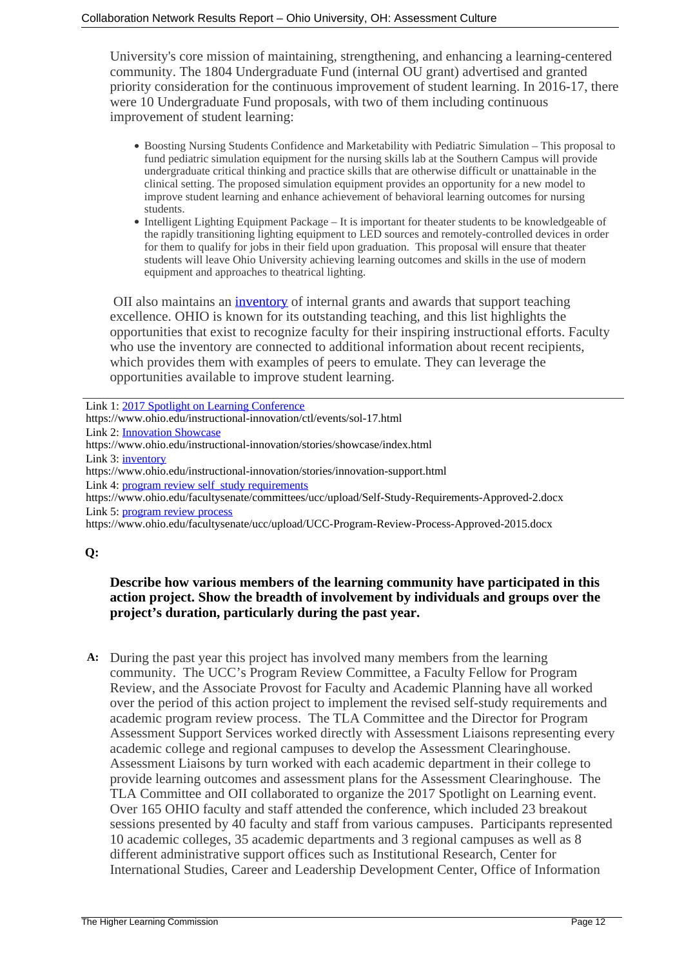University's core mission of maintaining, strengthening, and enhancing a learning-centered community. The 1804 Undergraduate Fund (internal OU grant) advertised and granted priority consideration for the continuous improvement of student learning. In 2016-17, there were 10 Undergraduate Fund proposals, with two of them including continuous improvement of student learning:

- Boosting Nursing Students Confidence and Marketability with Pediatric SimulationThis proposal to fund pediatric simulation equipment for the nursing skills lab at the Southern Campus will provide undergraduate critical thinking and practice skills that are otherwise difficult or unattainable in the clinical setting. The proposed simulation equipment provides an opportunity for a new model to improve student learning and enhance achievement of behavioral learning outcomes for nursing students.
- Intelligent Lighting Equipment Package It is important for theater students to be knowledgeable of the rapidly transitioning lighting equipment to LED sources and remotely-controlled devices in order for them to qualify for jobs in their field upon graduation. This proposal will ensure that theater students will leave Ohio University achieving learning outcomes and skills in the use of modern equipment and approaches to theatrical lighting.

 OII also maintains an [inventory](https://www.ohio.edu/instructional-innovation/stories/innovation-support.html) of internal grants and awards that support teaching excellence. OHIO is known for its outstanding teaching, and this list highlights the opportunities that exist to recognize faculty for their inspiring instructional efforts. Faculty who use the inventory are connected to additional information about recent recipients, which provides them with examples of peers to emulate. They can leverage the opportunities available to improve student learning.

| Link 1: 2017 Spotlight on Learning Conference                                                    |
|--------------------------------------------------------------------------------------------------|
| https://www.ohio.edu/instructional-innovation/ctl/events/sol-17.html                             |
| <b>Link 2: Innovation Showcase</b>                                                               |
| https://www.ohio.edu/instructional-innovation/stories/showcase/index.html                        |
| Link 3: inventory                                                                                |
| https://www.ohio.edu/instructional-innovation/stories/innovation-support.html                    |
| Link 4: program review self study requirements                                                   |
| https://www.ohio.edu/facultysenate/committees/ucc/upload/Self-Study-Requirements-Approved-2.docx |
| Link 5: program review process                                                                   |
| https://www.ohio.edu/facultysenate/ucc/upload/UCC-Program-Review-Process-Approved-2015.docx      |
|                                                                                                  |

#### **Q:**

### **Describe how various members of the learning community have participated in this action project. Show the breadth of involvement by individuals and groups over the project's duration, particularly during the past year.**

**A:** During the past year this project has involved many members from the learning community. The UCC's Program Review Committee, a Faculty Fellow for Program Review, and the Associate Provost for Faculty and Academic Planning have all worked over the period of this action project to implement the revised self-study requirements and academic program review process. The TLA Committee and the Director for Program Assessment Support Services worked directly with Assessment Liaisons representing every academic college and regional campuses to develop the Assessment Clearinghouse. Assessment Liaisons by turn worked with each academic department in their college to provide learning outcomes and assessment plans for the Assessment Clearinghouse. The TLA Committee and OII collaborated to organize the 2017 Spotlight on Learning event. Over 165 OHIO faculty and staff attended the conference, which included 23 breakout sessions presented by 40 faculty and staff from various campuses. Participants represented 10 academic colleges, 35 academic departments and 3 regional campuses as well as 8 different administrative support offices such as Institutional Research, Center for International Studies, Career and Leadership Development Center, Office of Information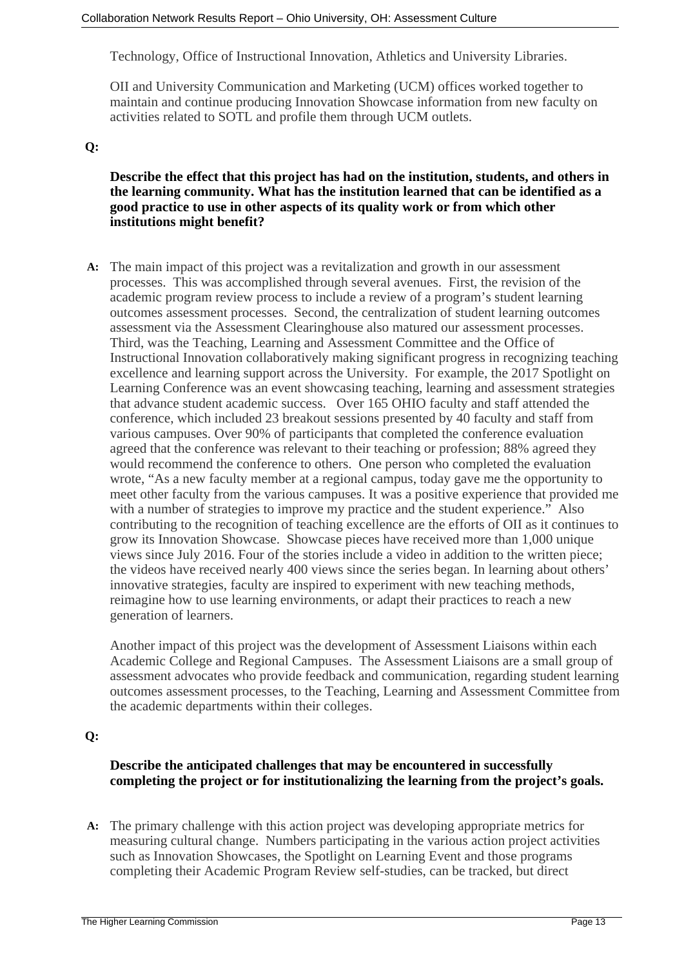Technology, Office of Instructional Innovation, Athletics and University Libraries.

OII and University Communication and Marketing (UCM) offices worked together to maintain and continue producing Innovation Showcase information from new faculty on activities related to SOTL and profile them through UCM outlets.

### **Q:**

### **Describe the effect that this project has had on the institution, students, and others in the learning community. What has the institution learned that can be identified as a good practice to use in other aspects of its quality work or from which other institutions might benefit?**

**A:** The main impact of this project was a revitalization and growth in our assessment processes. This was accomplished through several avenues. First, the revision of the academic program review process to include a review of a program's student learning outcomes assessment processes. Second, the centralization of student learning outcomes assessment via the Assessment Clearinghouse also matured our assessment processes. Third, was the Teaching, Learning and Assessment Committee and the Office of Instructional Innovation collaboratively making significant progress in recognizing teaching excellence and learning support across the University. For example, the 2017 Spotlight on Learning Conference was an event showcasing teaching, learning and assessment strategies that advance student academic success. Over 165 OHIO faculty and staff attended the conference, which included 23 breakout sessions presented by 40 faculty and staff from various campuses. Over 90% of participants that completed the conference evaluation agreed that the conference was relevant to their teaching or profession; 88% agreed they would recommend the conference to others. One person who completed the evaluation wrote, "As a new faculty member at a regional campus, today gave me the opportunity to meet other faculty from the various campuses. It was a positive experience that provided me with a number of strategies to improve my practice and the student experience." Also contributing to the recognition of teaching excellence are the efforts of OII as it continues to grow its Innovation Showcase. Showcase pieces have received more than 1,000 unique views since July 2016. Four of the stories include a video in addition to the written piece; the videos have received nearly 400 views since the series began. In learning about others' innovative strategies, faculty are inspired to experiment with new teaching methods, reimagine how to use learning environments, or adapt their practices to reach a new generation of learners.

Another impact of this project was the development of Assessment Liaisons within each Academic College and Regional Campuses. The Assessment Liaisons are a small group of assessment advocates who provide feedback and communication, regarding student learning outcomes assessment processes, to the Teaching, Learning and Assessment Committee from the academic departments within their colleges.

#### **Q:**

### **Describe the anticipated challenges that may be encountered in successfully completing the project or for institutionalizing the learning from the project's goals.**

**A:** The primary challenge with this action project was developing appropriate metrics for measuring cultural change. Numbers participating in the various action project activities such as Innovation Showcases, the Spotlight on Learning Event and those programs completing their Academic Program Review self-studies, can be tracked, but direct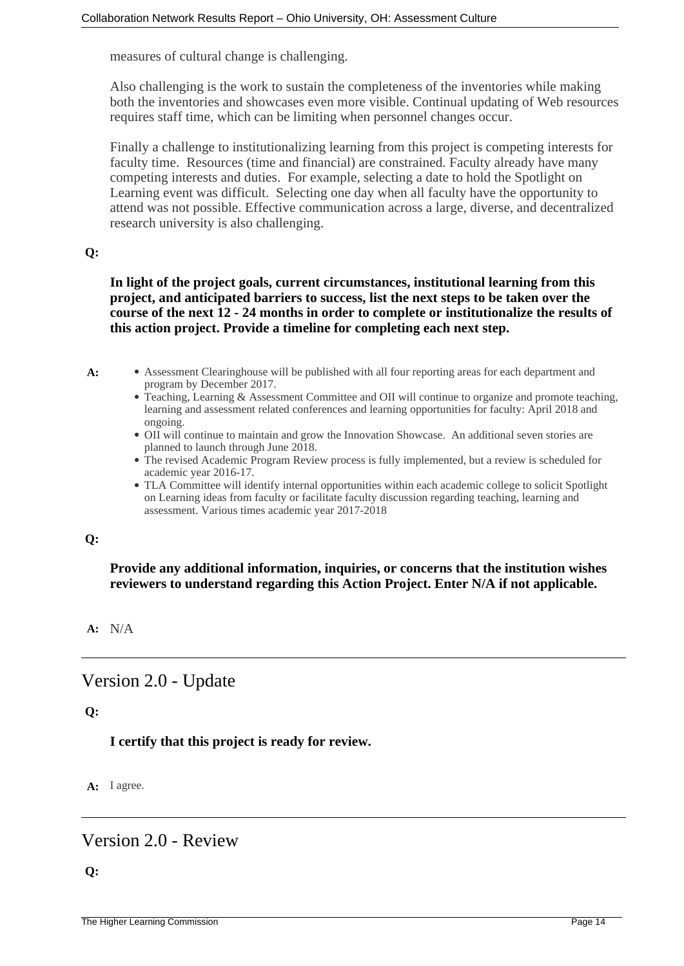measures of cultural change is challenging.

Also challenging is the work to sustain the completeness of the inventories while making both the inventories and showcases even more visible. Continual updating of Web resources requires staff time, which can be limiting when personnel changes occur.

Finally a challenge to institutionalizing learning from this project is competing interests for faculty time. Resources (time and financial) are constrained. Faculty already have many competing interests and duties. For example, selecting a date to hold the Spotlight on Learning event was difficult. Selecting one day when all faculty have the opportunity to attend was not possible. Effective communication across a large, diverse, and decentralized research university is also challenging.

#### **Q:**

**In light of the project goals, current circumstances, institutional learning from this project, and anticipated barriers to success, list the next steps to be taken over the course of the next 12 - 24 months in order to complete or institutionalize the results of this action project. Provide a timeline for completing each next step.**

- 
- A: Assessment Clearinghouse will be published with all four reporting areas for each department and program by December 2017.
	- Teaching, Learning & Assessment Committee and OII will continue to organize and promote teaching, learning and assessment related conferences and learning opportunities for faculty: April 2018 and ongoing.
	- OII will continue to maintain and grow the Innovation Showcase. An additional seven stories are planned to launch through June 2018.
	- The revised Academic Program Review process is fully implemented, but a review is scheduled for academic year 2016-17.
	- TLA Committee will identify internal opportunities within each academic college to solicit Spotlight on Learning ideas from faculty or facilitate faculty discussion regarding teaching, learning and assessment. Various times academic year 2017-2018

#### **Q:**

### **Provide any additional information, inquiries, or concerns that the institution wishes reviewers to understand regarding this Action Project. Enter N/A if not applicable.**

#### **A:** N/A

# Version 2.0 - Update

#### **Q:**

**I certify that this project is ready for review.**

**A:** I agree.

## Version 2.0 - Review

#### **Q:**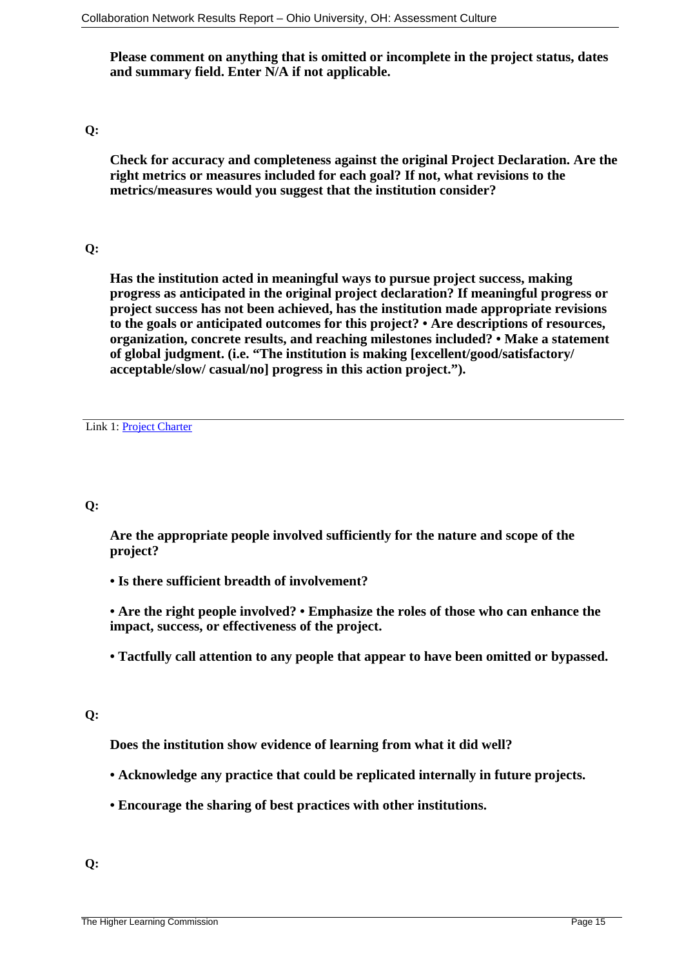**Please comment on anything that is omitted or incomplete in the project status, dates and summary field. Enter N/A if not applicable.**

#### **Q:**

**Check for accuracy and completeness against the original Project Declaration. Are the right metrics or measures included for each goal? If not, what revisions to the metrics/measures would you suggest that the institution consider?**

#### **Q:**

**Has the institution acted in meaningful ways to pursue project success, making progress as anticipated in the original project declaration? If meaningful progress or project success has not been achieved, has the institution made appropriate revisions to the goals or anticipated outcomes for this project? • Are descriptions of resources, organization, concrete results, and reaching milestones included? • Make a statement of global judgment. (i.e. "The institution is making [excellent/good/satisfactory/ acceptable/slow/ casual/no] progress in this action project.").**

Link 1: [Project Charter](https://downloadna11.springcm.com/content/DownloadDocuments.ashx?aid=5968&Selection=Document%2C8f06a3b3-4e91-df11-9372-001cc448da6a%3B)

#### **Q:**

**Are the appropriate people involved sufficiently for the nature and scope of the project?**

**• Is there sufficient breadth of involvement?**

**• Are the right people involved? • Emphasize the roles of those who can enhance the impact, success, or effectiveness of the project.**

**• Tactfully call attention to any people that appear to have been omitted or bypassed.**

### **Q:**

**Does the institution show evidence of learning from what it did well?**

- **Acknowledge any practice that could be replicated internally in future projects.**
- **Encourage the sharing of best practices with other institutions.**

**Q:**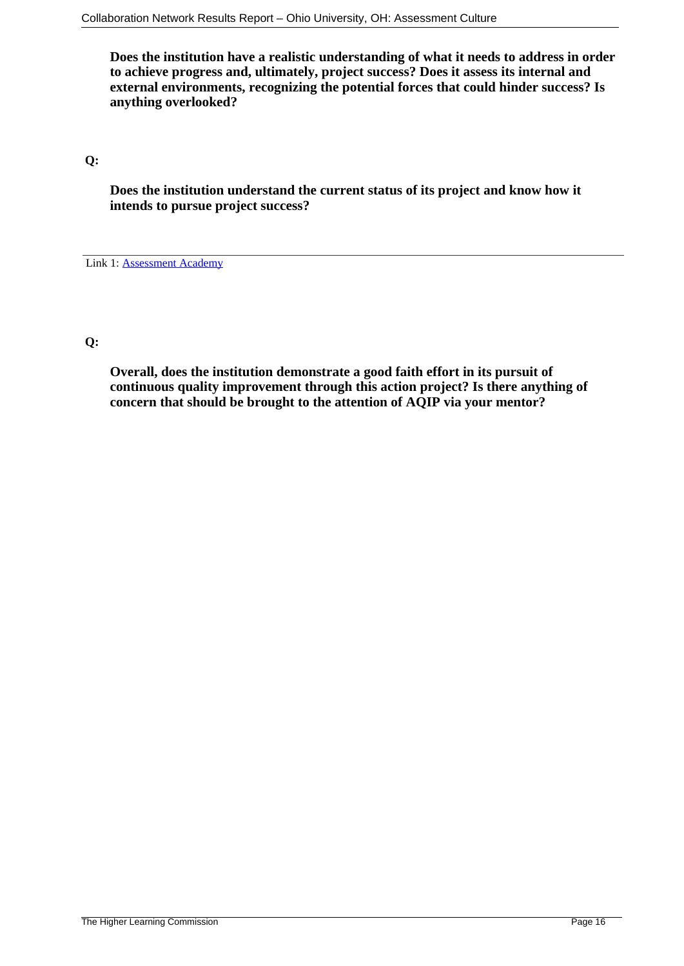**Does the institution have a realistic understanding of what it needs to address in order to achieve progress and, ultimately, project success? Does it assess its internal and external environments, recognizing the potential forces that could hinder success? Is anything overlooked?**

**Q:**

**Does the institution understand the current status of its project and know how it intends to pursue project success?**

Link 1: [Assessment Academy](https://hlcommission.org/Programs-Events/assessment-academy-experience.html?highlight=WyJhY2FkZW15IiwiYWNhZGVteSdzIl0=)

#### **Q:**

**Overall, does the institution demonstrate a good faith effort in its pursuit of continuous quality improvement through this action project? Is there anything of concern that should be brought to the attention of AQIP via your mentor?**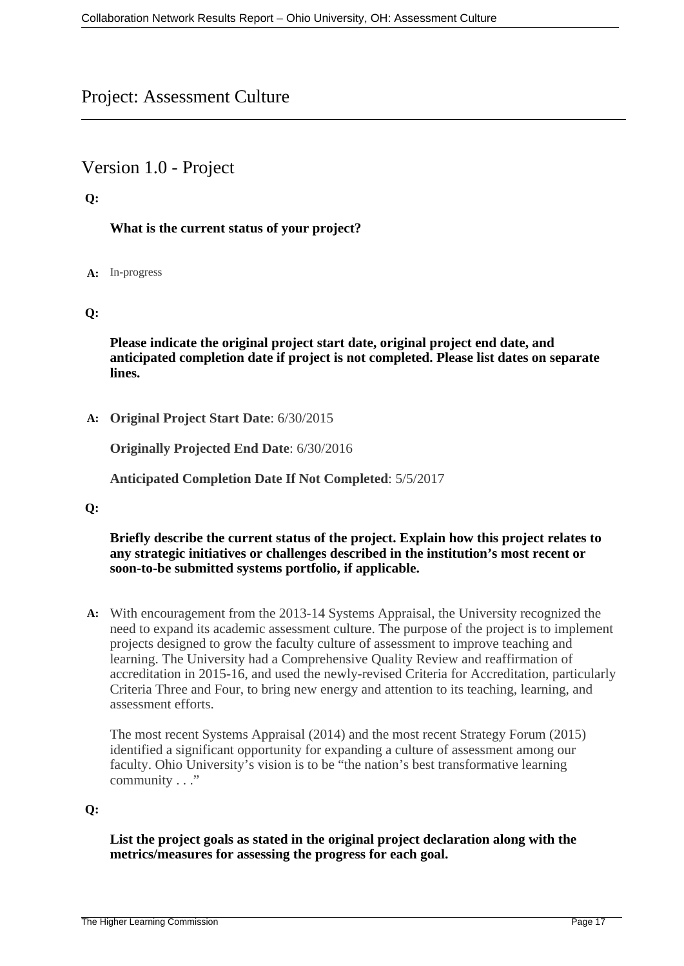# Project: Assessment Culture

# Version 1.0 - Project

### **Q:**

### **What is the current status of your project?**

#### **A:** In-progress

### **Q:**

**Please indicate the original project start date, original project end date, and anticipated completion date if project is not completed. Please list dates on separate lines.**

**A: Original Project Start Date**: 6/30/2015

**Originally Projected End Date**: 6/30/2016

**Anticipated Completion Date If Not Completed**: 5/5/2017

#### **Q:**

#### **Briefly describe the current status of the project. Explain how this project relates to any strategic initiatives or challenges described in the institution's most recent or soon-to-be submitted systems portfolio, if applicable.**

**A:** With encouragement from the 2013-14 Systems Appraisal, the University recognized the need to expand its academic assessment culture. The purpose of the project is to implement projects designed to grow the faculty culture of assessment to improve teaching and learning. The University had a Comprehensive Quality Review and reaffirmation of accreditation in 2015-16, and used the newly-revised Criteria for Accreditation, particularly Criteria Three and Four, to bring new energy and attention to its teaching, learning, and assessment efforts.

The most recent Systems Appraisal (2014) and the most recent Strategy Forum (2015) identified a significant opportunity for expanding a culture of assessment among our faculty. Ohio University's vision is to be "the nation's best transformative learning community . . ."

### **Q:**

**List the project goals as stated in the original project declaration along with the metrics/measures for assessing the progress for each goal.**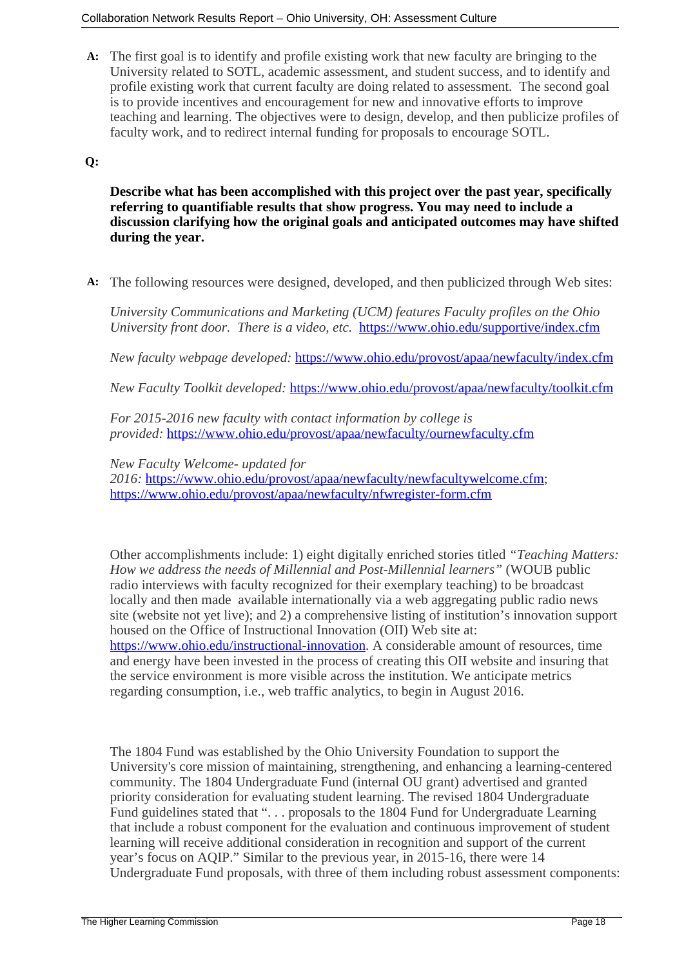**A:** The first goal is to identify and profile existing work that new faculty are bringing to the University related to SOTL, academic assessment, and student success, and to identify and profile existing work that current faculty are doing related to assessment. The second goal is to provide incentives and encouragement for new and innovative efforts to improve teaching and learning. The objectives were to design, develop, and then publicize profiles of faculty work, and to redirect internal funding for proposals to encourage SOTL.

### **Q:**

**Describe what has been accomplished with this project over the past year, specifically referring to quantifiable results that show progress. You may need to include a discussion clarifying how the original goals and anticipated outcomes may have shifted during the year.**

**A:** The following resources were designed, developed, and then publicized through Web sites:

*University Communications and Marketing (UCM) features Faculty profiles on the Ohio University front door. There is a video, etc.* <https://www.ohio.edu/supportive/index.cfm>

*New faculty webpage developed:* <https://www.ohio.edu/provost/apaa/newfaculty/index.cfm>

*New Faculty Toolkit developed:* <https://www.ohio.edu/provost/apaa/newfaculty/toolkit.cfm>

*For 2015-2016 new faculty with contact information by college is provided:* <https://www.ohio.edu/provost/apaa/newfaculty/ournewfaculty.cfm>

*New Faculty Welcome- updated for*

*2016:* [https://www.ohio.edu/provost/apaa/newfaculty/newfacultywelcome.cfm;](https://www.ohio.edu/provost/apaa/newfaculty/newfacultywelcome.cfm) <https://www.ohio.edu/provost/apaa/newfaculty/nfwregister-form.cfm>

Other accomplishments include: 1) eight digitally enriched stories titled *"Teaching Matters: How we address the needs of Millennial and Post-Millennial learners"* (WOUB public radio interviews with faculty recognized for their exemplary teaching) to be broadcast locally and then made available internationally via a web aggregating public radio news site (website not yet live); and 2) a comprehensive listing of institution's innovation support housed on the Office of Instructional Innovation (OII) Web site at: <https://www.ohio.edu/instructional-innovation>. A considerable amount of resources, time and energy have been invested in the process of creating this OII website and insuring that the service environment is more visible across the institution. We anticipate metrics regarding consumption, i.e., web traffic analytics, to begin in August 2016.

The 1804 Fund was established by the Ohio University Foundation to support the University's core mission of maintaining, strengthening, and enhancing a learning-centered community. The 1804 Undergraduate Fund (internal OU grant) advertised and granted priority consideration for evaluating student learning. The revised 1804 Undergraduate Fund guidelines stated that "... proposals to the 1804 Fund for Undergraduate Learning that include a robust component for the evaluation and continuous improvement of student learning will receive additional consideration in recognition and support of the current year's focus on AQIP." Similar to the previous year, in 2015-16, there were 14 Undergraduate Fund proposals, with three of them including robust assessment components: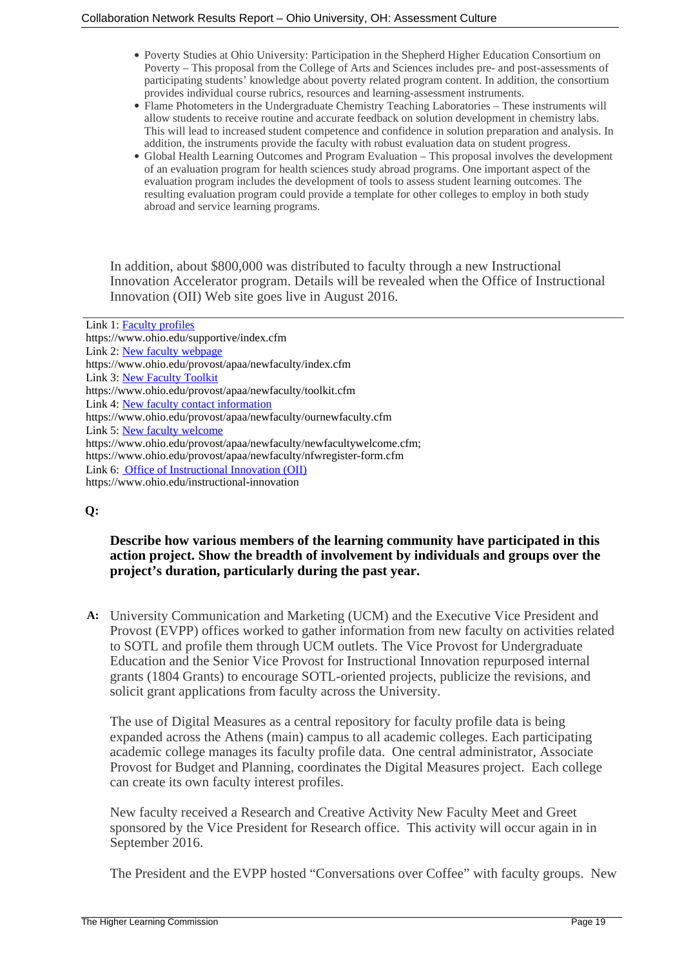- Poverty Studies at Ohio University: Participation in the Shepherd Higher Education Consortium on Poverty – This proposal from the College of Arts and Sciences includes pre- and post-assessments of participating students' knowledge about poverty related program content. In addition, the consortium provides individual course rubrics, resources and learning-assessment instruments.
- Flame Photometers in the Undergraduate Chemistry Teaching Laboratories These instruments will allow students to receive routine and accurate feedback on solution development in chemistry labs. This will lead to increased student competence and confidence in solution preparation and analysis. In addition, the instruments provide the faculty with robust evaluation data on student progress.
- Global Health Learning Outcomes and Program Evaluation This proposal involves the development of an evaluation program for health sciences study abroad programs. One important aspect of the evaluation program includes the development of tools to assess student learning outcomes. The resulting evaluation program could provide a template for other colleges to employ in both study abroad and service learning programs.

In addition, about \$800,000 was distributed to faculty through a new Instructional Innovation Accelerator program. Details will be revealed when the Office of Instructional Innovation (OII) Web site goes live in August 2016.

### **Q:**

### **Describe how various members of the learning community have participated in this action project. Show the breadth of involvement by individuals and groups over the project's duration, particularly during the past year.**

**A:** University Communication and Marketing (UCM) and the Executive Vice President and Provost (EVPP) offices worked to gather information from new faculty on activities related to SOTL and profile them through UCM outlets. The Vice Provost for Undergraduate Education and the Senior Vice Provost for Instructional Innovation repurposed internal grants (1804 Grants) to encourage SOTL-oriented projects, publicize the revisions, and solicit grant applications from faculty across the University.

The use of Digital Measures as a central repository for faculty profile data is being expanded across the Athens (main) campus to all academic colleges. Each participating academic college manages its faculty profile data. One central administrator, Associate Provost for Budget and Planning, coordinates the Digital Measures project. Each college can create its own faculty interest profiles.

New faculty received a Research and Creative Activity New Faculty Meet and Greet sponsored by the Vice President for Research office. This activity will occur again in in September 2016.

The President and the EVPP hosted "Conversations over Coffee" with faculty groups. New

Link 1: [Faculty profiles](https://www.ohio.edu/supportive/index.cfm) https://www.ohio.edu/supportive/index.cfm Link 2: [New faculty webpage](https://www.ohio.edu/provost/apaa/newfaculty/index.cfm) https://www.ohio.edu/provost/apaa/newfaculty/index.cfm Link 3: [New Faculty Toolkit](https://www.ohio.edu/provost/apaa/newfaculty/toolkit.cfm) https://www.ohio.edu/provost/apaa/newfaculty/toolkit.cfm Link 4: [New faculty contact information](https://www.ohio.edu/provost/apaa/newfaculty/ournewfaculty.cfm) https://www.ohio.edu/provost/apaa/newfaculty/ournewfaculty.cfm Link 5: [New faculty welcome](https://www.ohio.edu/provost/apaa/newfaculty/newfacultywelcome.cfm; https://www.ohio.edu/provost/apaa/newfaculty/nfwregister-form.cfm) https://www.ohio.edu/provost/apaa/newfaculty/newfacultywelcome.cfm; https://www.ohio.edu/provost/apaa/newfaculty/nfwregister-form.cfm Link 6: [Office of Instructional Innovation \(OII\)](https://www.ohio.edu/instructional-innovation) https://www.ohio.edu/instructional-innovation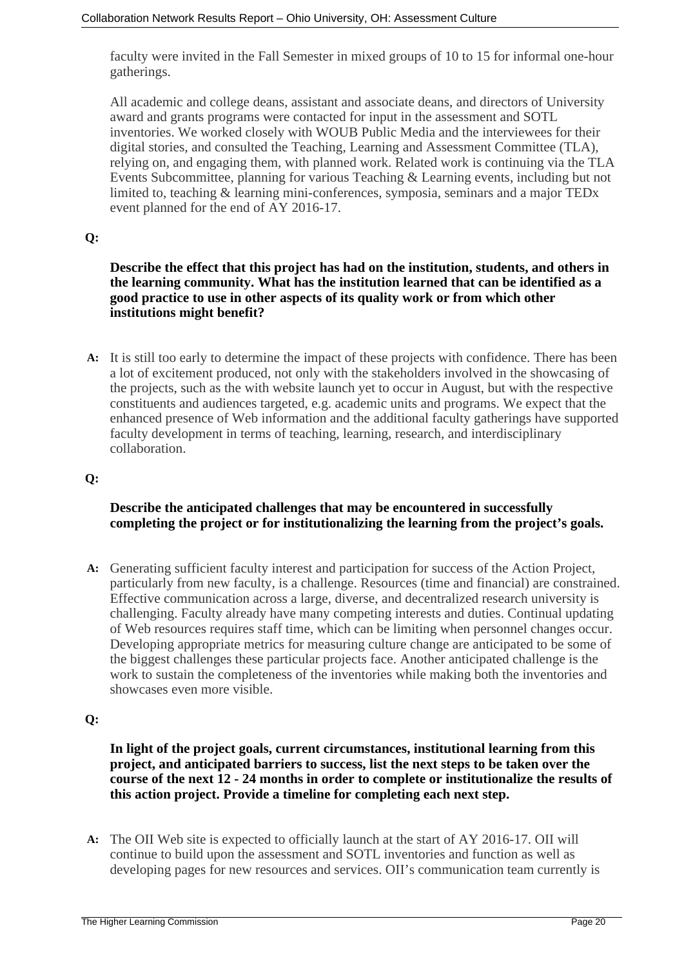faculty were invited in the Fall Semester in mixed groups of 10 to 15 for informal one-hour gatherings.

All academic and college deans, assistant and associate deans, and directors of University award and grants programs were contacted for input in the assessment and SOTL inventories. We worked closely with WOUB Public Media and the interviewees for their digital stories, and consulted the Teaching, Learning and Assessment Committee (TLA), relying on, and engaging them, with planned work. Related work is continuing via the TLA Events Subcommittee, planning for various Teaching & Learning events, including but not limited to, teaching & learning mini-conferences, symposia, seminars and a major TEDx event planned for the end of AY 2016-17.

### **Q:**

#### **Describe the effect that this project has had on the institution, students, and others in the learning community. What has the institution learned that can be identified as a good practice to use in other aspects of its quality work or from which other institutions might benefit?**

**A:** It is still too early to determine the impact of these projects with confidence. There has been a lot of excitement produced, not only with the stakeholders involved in the showcasing of the projects, such as the with website launch yet to occur in August, but with the respective constituents and audiences targeted, e.g. academic units and programs. We expect that the enhanced presence of Web information and the additional faculty gatherings have supported faculty development in terms of teaching, learning, research, and interdisciplinary collaboration.

### **Q:**

### **Describe the anticipated challenges that may be encountered in successfully completing the project or for institutionalizing the learning from the project's goals.**

**A:** Generating sufficient faculty interest and participation for success of the Action Project, particularly from new faculty, is a challenge. Resources (time and financial) are constrained. Effective communication across a large, diverse, and decentralized research university is challenging. Faculty already have many competing interests and duties. Continual updating of Web resources requires staff time, which can be limiting when personnel changes occur. Developing appropriate metrics for measuring culture change are anticipated to be some of the biggest challenges these particular projects face. Another anticipated challenge is the work to sustain the completeness of the inventories while making both the inventories and showcases even more visible.

#### **Q:**

#### **In light of the project goals, current circumstances, institutional learning from this project, and anticipated barriers to success, list the next steps to be taken over the course of the next 12 - 24 months in order to complete or institutionalize the results of this action project. Provide a timeline for completing each next step.**

**A:** The OII Web site is expected to officially launch at the start of AY 2016-17. OII will continue to build upon the assessment and SOTL inventories and function as well as developing pages for new resources and services. OII's communication team currently is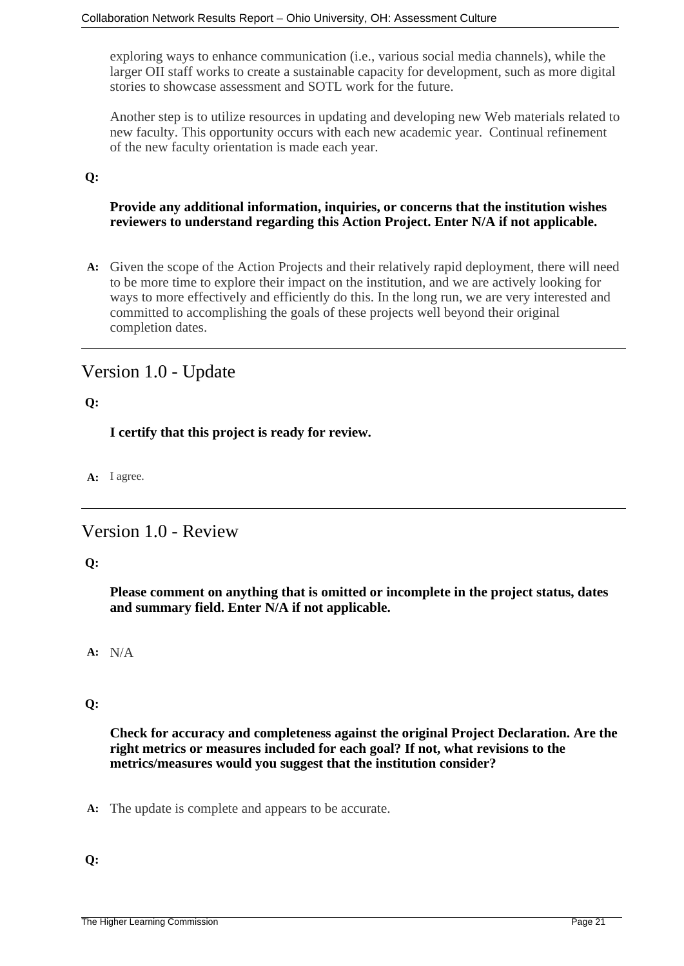exploring ways to enhance communication (i.e., various social media channels), while the larger OII staff works to create a sustainable capacity for development, such as more digital stories to showcase assessment and SOTL work for the future.

Another step is to utilize resources in updating and developing new Web materials related to new faculty. This opportunity occurs with each new academic year. Continual refinement of the new faculty orientation is made each year.

### **Q:**

### **Provide any additional information, inquiries, or concerns that the institution wishes reviewers to understand regarding this Action Project. Enter N/A if not applicable.**

**A:** Given the scope of the Action Projects and their relatively rapid deployment, there will need to be more time to explore their impact on the institution, and we are actively looking for ways to more effectively and efficiently do this. In the long run, we are very interested and committed to accomplishing the goals of these projects well beyond their original completion dates.

# Version 1.0 - Update

**Q:**

**I certify that this project is ready for review.**

**A:** I agree.

# Version 1.0 - Review

#### **Q:**

**Please comment on anything that is omitted or incomplete in the project status, dates and summary field. Enter N/A if not applicable.**

**A:** N/A

### **Q:**

**Check for accuracy and completeness against the original Project Declaration. Are the right metrics or measures included for each goal? If not, what revisions to the metrics/measures would you suggest that the institution consider?**

**A:** The update is complete and appears to be accurate.

#### **Q:**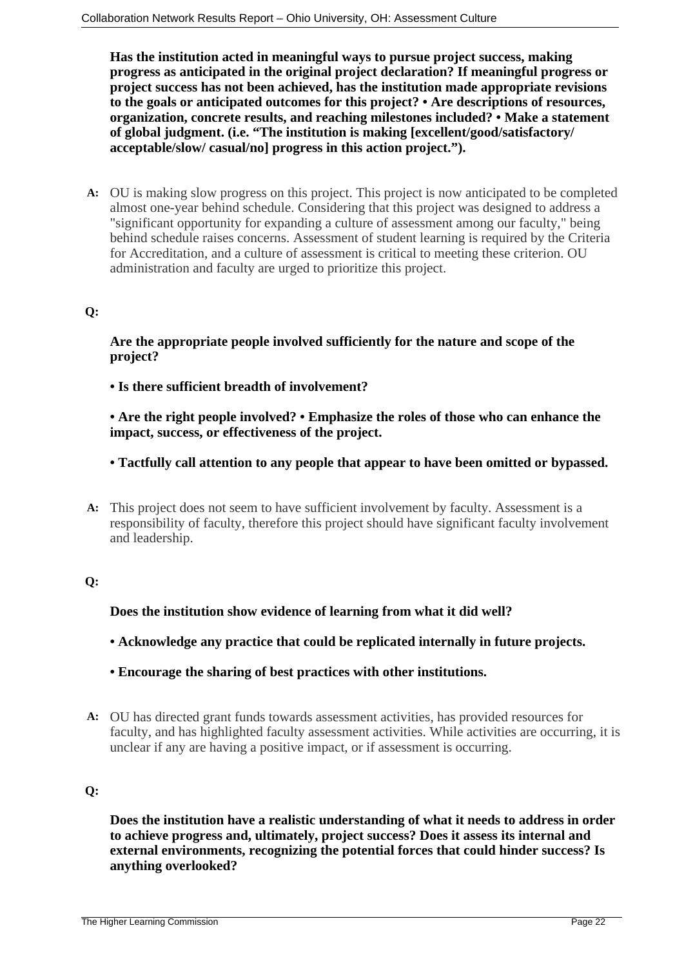**Has the institution acted in meaningful ways to pursue project success, making progress as anticipated in the original project declaration? If meaningful progress or project success has not been achieved, has the institution made appropriate revisions to the goals or anticipated outcomes for this project? • Are descriptions of resources, organization, concrete results, and reaching milestones included? • Make a statement of global judgment. (i.e. "The institution is making [excellent/good/satisfactory/ acceptable/slow/ casual/no] progress in this action project.").**

**A:** OU is making slow progress on this project. This project is now anticipated to be completed almost one-year behind schedule. Considering that this project was designed to address a "significant opportunity for expanding a culture of assessment among our faculty," being behind schedule raises concerns. Assessment of student learning is required by the Criteria for Accreditation, and a culture of assessment is critical to meeting these criterion. OU administration and faculty are urged to prioritize this project.

### **Q:**

**Are the appropriate people involved sufficiently for the nature and scope of the project?**

**• Is there sufficient breadth of involvement?**

**• Are the right people involved? • Emphasize the roles of those who can enhance the impact, success, or effectiveness of the project.**

**• Tactfully call attention to any people that appear to have been omitted or bypassed.**

**A:** This project does not seem to have sufficient involvement by faculty. Assessment is a responsibility of faculty, therefore this project should have significant faculty involvement and leadership.

#### **Q:**

**Does the institution show evidence of learning from what it did well?**

**• Acknowledge any practice that could be replicated internally in future projects.**

- **Encourage the sharing of best practices with other institutions.**
- **A:** OU has directed grant funds towards assessment activities, has provided resources for faculty, and has highlighted faculty assessment activities. While activities are occurring, it is unclear if any are having a positive impact, or if assessment is occurring.

### **Q:**

**Does the institution have a realistic understanding of what it needs to address in order to achieve progress and, ultimately, project success? Does it assess its internal and external environments, recognizing the potential forces that could hinder success? Is anything overlooked?**